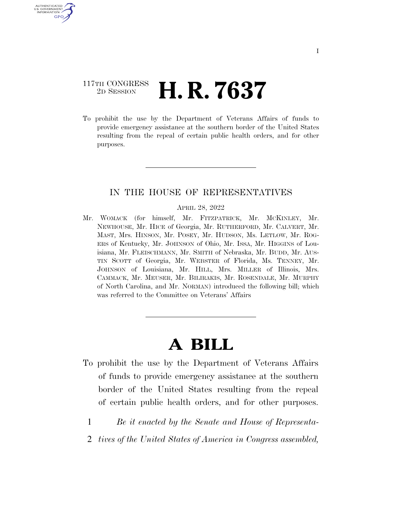## 117TH CONGRESS <sup>2D SESSION</sup> **H. R. 7637**

U.S. GOVERNMENT GPO

> To prohibit the use by the Department of Veterans Affairs of funds to provide emergency assistance at the southern border of the United States resulting from the repeal of certain public health orders, and for other purposes.

## IN THE HOUSE OF REPRESENTATIVES

APRIL 28, 2022

Mr. WOMACK (for himself, Mr. FITZPATRICK, Mr. MCKINLEY, Mr. NEWHOUSE, Mr. HICE of Georgia, Mr. RUTHERFORD, Mr. CALVERT, Mr. MAST, Mrs. HINSON, Mr. POSEY, Mr. HUDSON, Ms. LETLOW, Mr. ROG-ERS of Kentucky, Mr. JOHNSON of Ohio, Mr. ISSA, Mr. HIGGINS of Louisiana, Mr. FLEISCHMANN, Mr. SMITH of Nebraska, Mr. BUDD, Mr. AUS-TIN SCOTT of Georgia, Mr. WEBSTER of Florida, Ms. TENNEY, Mr. JOHNSON of Louisiana, Mr. HILL, Mrs. MILLER of Illinois, Mrs. CAMMACK, Mr. MEUSER, Mr. BILIRAKIS, Mr. ROSENDALE, Mr. MURPHY of North Carolina, and Mr. NORMAN) introduced the following bill; which was referred to the Committee on Veterans' Affairs

## **A BILL**

- To prohibit the use by the Department of Veterans Affairs of funds to provide emergency assistance at the southern border of the United States resulting from the repeal of certain public health orders, and for other purposes.
	- 1 *Be it enacted by the Senate and House of Representa-*
	- 2 *tives of the United States of America in Congress assembled,*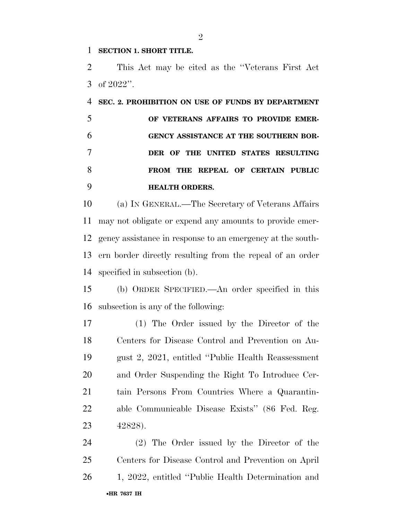## **SECTION 1. SHORT TITLE.**

 This Act may be cited as the ''Veterans First Act of 2022''.

 **SEC. 2. PROHIBITION ON USE OF FUNDS BY DEPARTMENT OF VETERANS AFFAIRS TO PROVIDE EMER- GENCY ASSISTANCE AT THE SOUTHERN BOR- DER OF THE UNITED STATES RESULTING FROM THE REPEAL OF CERTAIN PUBLIC HEALTH ORDERS.** 

 (a) IN GENERAL.—The Secretary of Veterans Affairs may not obligate or expend any amounts to provide emer- gency assistance in response to an emergency at the south- ern border directly resulting from the repeal of an order specified in subsection (b).

 (b) ORDER SPECIFIED.—An order specified in this subsection is any of the following:

 (1) The Order issued by the Director of the Centers for Disease Control and Prevention on Au- gust 2, 2021, entitled ''Public Health Reassessment and Order Suspending the Right To Introduce Cer- tain Persons From Countries Where a Quarantin- able Communicable Disease Exists'' (86 Fed. Reg. 42828).

•**HR 7637 IH** (2) The Order issued by the Director of the Centers for Disease Control and Prevention on April 1, 2022, entitled ''Public Health Determination and

 $\mathfrak{D}$